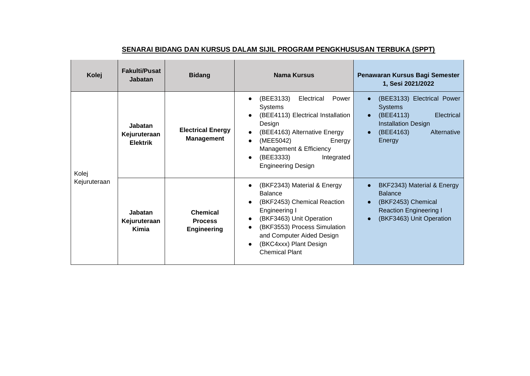| Kolej                 | <b>Fakulti/Pusat</b><br><b>Jabatan</b>     | <b>Bidang</b>                                           | Nama Kursus                                                                                                                                                                                                                                 | Penawaran Kursus Bagi Semester<br>1, Sesi 2021/2022                                                                                                                                |
|-----------------------|--------------------------------------------|---------------------------------------------------------|---------------------------------------------------------------------------------------------------------------------------------------------------------------------------------------------------------------------------------------------|------------------------------------------------------------------------------------------------------------------------------------------------------------------------------------|
| Kolej<br>Kejuruteraan | Jabatan<br>Kejuruteraan<br><b>Elektrik</b> | <b>Electrical Energy</b><br><b>Management</b>           | (BEE3133)<br>Electrical<br>Power<br><b>Systems</b><br>(BEE4113) Electrical Installation<br>Design<br>(BEE4163) Alternative Energy<br>(MEE5042)<br>Energy<br>Management & Efficiency<br>(BEE3333)<br>Integrated<br><b>Engineering Design</b> | (BEE3133) Electrical Power<br>$\bullet$<br><b>Systems</b><br>(BEE4113)<br>Electrical<br>$\bullet$<br><b>Installation Design</b><br>(BEE4163)<br>Alternative<br>$\bullet$<br>Energy |
|                       | <b>Jabatan</b><br>Kejuruteraan<br>Kimia    | <b>Chemical</b><br><b>Process</b><br><b>Engineering</b> | (BKF2343) Material & Energy<br><b>Balance</b><br>(BKF2453) Chemical Reaction<br>Engineering I<br>(BKF3463) Unit Operation<br>(BKF3553) Process Simulation<br>and Computer Aided Design<br>(BKC4xxx) Plant Design<br><b>Chemical Plant</b>   | BKF2343) Material & Energy<br>$\bullet$<br><b>Balance</b><br>(BKF2453) Chemical<br>$\bullet$<br><b>Reaction Engineering I</b><br>(BKF3463) Unit Operation<br>$\bullet$             |

## **SENARAI BIDANG DAN KURSUS DALAM SIJIL PROGRAM PENGKHUSUSAN TERBUKA (SPPT)**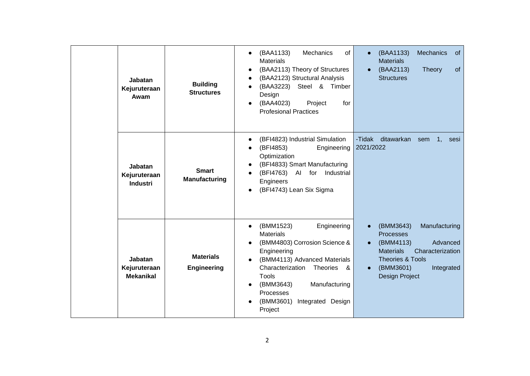| <b>Jabatan</b><br>Kejuruteraan<br>Awam            | <b>Building</b><br><b>Structures</b>   | (BAA1133)<br>Mechanics<br>of<br><b>Materials</b><br>(BAA2113) Theory of Structures<br>(BAA2123) Structural Analysis<br>(BAA3223) Steel & Timber<br>Design<br>(BAA4023)<br>Project<br>for<br><b>Profesional Practices</b>                                                     | (BAA1133)<br>Mechanics<br>of<br>$\bullet$<br><b>Materials</b><br>(BAA2113)<br>of<br>Theory<br>$\bullet$<br><b>Structures</b>                                                                                                       |
|---------------------------------------------------|----------------------------------------|------------------------------------------------------------------------------------------------------------------------------------------------------------------------------------------------------------------------------------------------------------------------------|------------------------------------------------------------------------------------------------------------------------------------------------------------------------------------------------------------------------------------|
| <b>Jabatan</b><br>Kejuruteraan<br><b>Industri</b> | <b>Smart</b><br><b>Manufacturing</b>   | (BFI4823) Industrial Simulation<br>(BFI4853)<br>Engineering<br>Optimization<br>(BFI4833) Smart Manufacturing<br>(BFI4763) AI for Industrial<br>Engineers<br>(BFI4743) Lean Six Sigma                                                                                         | -Tidak<br>ditawarkan<br>sem<br>1,<br>sesi<br>2021/2022                                                                                                                                                                             |
| Jabatan<br>Kejuruteraan<br><b>Mekanikal</b>       | <b>Materials</b><br><b>Engineering</b> | Engineering<br>(BMM1523)<br>$\bullet$<br><b>Materials</b><br>(BMM4803) Corrosion Science &<br>Engineering<br>(BMM4113) Advanced Materials<br>Characterization<br>Theories &<br>Tools<br>(BMM3643)<br>Manufacturing<br>Processes<br>(BMM3601)<br>Integrated Design<br>Project | (BMM3643)<br>Manufacturing<br>$\bullet$<br><b>Processes</b><br>(BMM4113)<br>Advanced<br>$\bullet$<br>Characterization<br><b>Materials</b><br><b>Theories &amp; Tools</b><br>(BMM3601)<br>Integrated<br>$\bullet$<br>Design Project |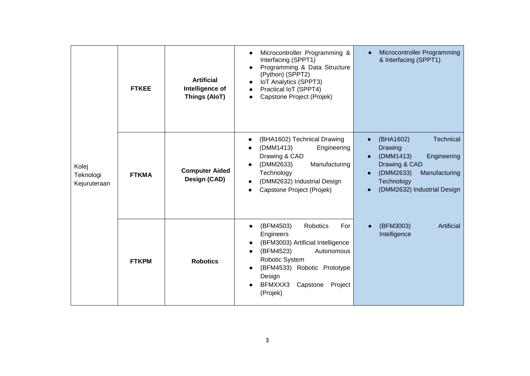| Kolej<br>Teknologi<br>Kejuruteraan | <b>FTKEE</b> | <b>Artificial</b><br>Intelligence of<br><b>Things (AloT)</b> | Microcontroller Programming &<br>Interfacing (SPPT1)<br>Programming & Data Structure<br>(Python) (SPPT2)<br>IoT Analytics (SPPT3)<br>Practical IoT (SPPT4)<br>Capstone Project (Projek)                            | Microcontroller Programming<br>& Interfacing (SPPT1)                                                                                                                                             |
|------------------------------------|--------------|--------------------------------------------------------------|--------------------------------------------------------------------------------------------------------------------------------------------------------------------------------------------------------------------|--------------------------------------------------------------------------------------------------------------------------------------------------------------------------------------------------|
|                                    | <b>FTKMA</b> | <b>Computer Aided</b><br>Design (CAD)                        | (BHA1602) Technical Drawing<br>(DMM1413)<br>Engineering<br>Drawing & CAD<br>Manufacturing<br>(DMM2633)<br>Technology<br>(DMM2632) Industrial Design<br>Capstone Project (Projek)                                   | Technical<br>(BHA1602)<br>$\bullet$<br>Drawing<br>(DMM1413)<br>Engineering<br>$\bullet$<br>Drawing & CAD<br>(DMM2633)<br>Manufacturing<br>$\bullet$<br>Technology<br>(DMM2632) Industrial Design |
|                                    | <b>FTKPM</b> | <b>Robotics</b>                                              | Robotics<br>(BFM4503)<br>For<br>Engineers<br>(BFM3003) Artificial Intelligence<br>(BFM4523)<br>Autonomous<br>Robotic System<br>(BFM4533) Robotic Prototype<br>Design<br>BFMXXX3<br>Capstone<br>Project<br>(Projek) | Artificial<br>(BFM3003)<br>Intelligence                                                                                                                                                          |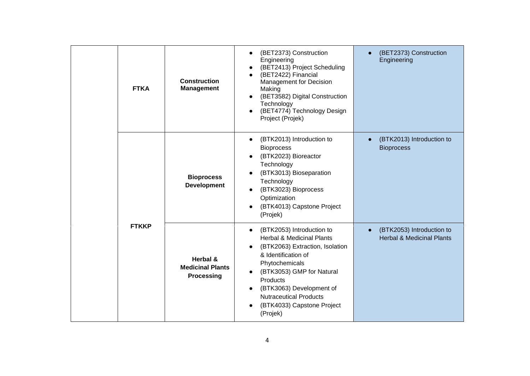|  | <b>FTKA</b>  | <b>Construction</b><br><b>Management</b>                 | (BET2373) Construction<br>Engineering<br>(BET2413) Project Scheduling<br>(BET2422) Financial<br><b>Management for Decision</b><br>Making<br>(BET3582) Digital Construction<br>Technology<br>(BET4774) Technology Design<br>Project (Projek)                                                   | (BET2373) Construction<br>$\bullet$<br>Engineering                             |
|--|--------------|----------------------------------------------------------|-----------------------------------------------------------------------------------------------------------------------------------------------------------------------------------------------------------------------------------------------------------------------------------------------|--------------------------------------------------------------------------------|
|  |              | <b>Bioprocess</b><br><b>Development</b>                  | (BTK2013) Introduction to<br><b>Bioprocess</b><br>(BTK2023) Bioreactor<br>Technology<br>(BTK3013) Bioseparation<br>Technology<br>(BTK3023) Bioprocess<br>Optimization<br>(BTK4013) Capstone Project<br>(Projek)                                                                               | (BTK2013) Introduction to<br><b>Bioprocess</b>                                 |
|  | <b>FTKKP</b> | Herbal &<br><b>Medicinal Plants</b><br><b>Processing</b> | (BTK2053) Introduction to<br><b>Herbal &amp; Medicinal Plants</b><br>(BTK2063) Extraction, Isolation<br>& Identification of<br>Phytochemicals<br>(BTK3053) GMP for Natural<br>Products<br>(BTK3063) Development of<br><b>Nutraceutical Products</b><br>(BTK4033) Capstone Project<br>(Projek) | (BTK2053) Introduction to<br>$\bullet$<br><b>Herbal &amp; Medicinal Plants</b> |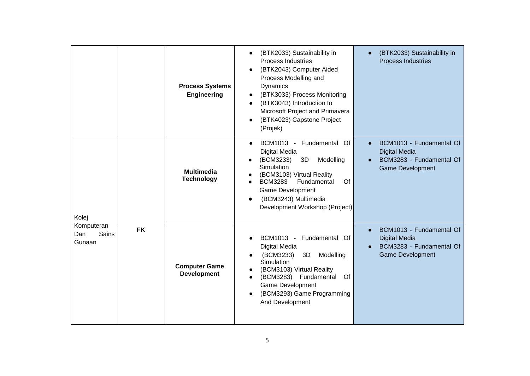|                                               |           | <b>Process Systems</b><br><b>Engineering</b> | (BTK2033) Sustainability in<br><b>Process Industries</b><br>(BTK2043) Computer Aided<br>Process Modelling and<br>Dynamics<br>(BTK3033) Process Monitoring<br>(BTK3043) Introduction to<br>Microsoft Project and Primavera<br>(BTK4023) Capstone Project<br>(Projek) | (BTK2033) Sustainability in<br>$\bullet$<br><b>Process Industries</b>                                                |
|-----------------------------------------------|-----------|----------------------------------------------|---------------------------------------------------------------------------------------------------------------------------------------------------------------------------------------------------------------------------------------------------------------------|----------------------------------------------------------------------------------------------------------------------|
| Kolej<br>Komputeran<br>Sains<br>Dan<br>Gunaan | <b>FK</b> | <b>Multimedia</b><br><b>Technology</b>       | BCM1013 -<br>Fundamental<br>Of<br>Digital Media<br>(BCM3233)<br>3D<br>Modelling<br>Simulation<br>(BCM3103) Virtual Reality<br>Fundamental<br><b>BCM3283</b><br>Of<br>Game Development<br>(BCM3243) Multimedia<br>Development Workshop (Project)                     | BCM1013 - Fundamental Of<br><b>Digital Media</b><br>BCM3283 - Fundamental Of<br><b>Game Development</b>              |
|                                               |           | <b>Computer Game</b><br><b>Development</b>   | BCM1013 - Fundamental Of<br>Digital Media<br>(BCM3233)<br>3D<br>Modelling<br>Simulation<br>(BCM3103) Virtual Reality<br>(BCM3283) Fundamental<br>Of<br><b>Game Development</b><br>(BCM3293) Game Programming<br>And Development                                     | BCM1013 - Fundamental Of<br>$\bullet$<br><b>Digital Media</b><br>BCM3283 - Fundamental Of<br><b>Game Development</b> |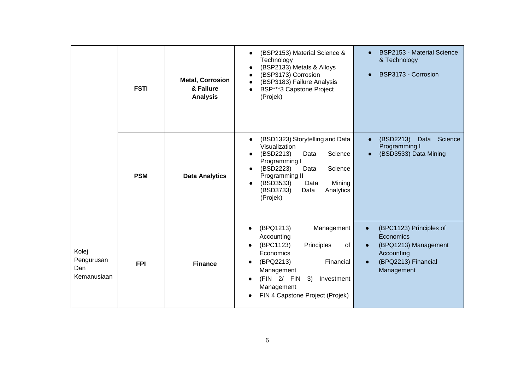|                                           | <b>FSTI</b> | <b>Metal, Corrosion</b><br>& Failure<br><b>Analysis</b> | (BSP2153) Material Science &<br>Technology<br>(BSP2133) Metals & Alloys<br>(BSP3173) Corrosion<br>(BSP3183) Failure Analysis<br>BSP***3 Capstone Project<br>(Projek)                                                             | <b>BSP2153 - Material Science</b><br>& Technology<br>BSP3173 - Corrosion<br>$\bullet$                           |
|-------------------------------------------|-------------|---------------------------------------------------------|----------------------------------------------------------------------------------------------------------------------------------------------------------------------------------------------------------------------------------|-----------------------------------------------------------------------------------------------------------------|
|                                           | <b>PSM</b>  | <b>Data Analytics</b>                                   | (BSD1323) Storytelling and Data<br>Visualization<br>(BSD2213)<br>Science<br>Data<br>Programming I<br>(BSD2223)<br>Science<br>Data<br>Programming II<br>(BSD3533)<br>Mining<br>Data<br>(BSD3733)<br>Analytics<br>Data<br>(Projek) | (BSD2213)<br>Science<br>Data<br>$\bullet$<br>Programming I<br>(BSD3533) Data Mining<br>$\bullet$                |
| Kolej<br>Pengurusan<br>Dan<br>Kemanusiaan | <b>FPI</b>  | <b>Finance</b>                                          | Management<br>(BPQ1213)<br>Accounting<br>(BPC1123)<br>Principles<br>of<br>Economics<br>(BPQ2213)<br>Financial<br>Management<br>(FIN 2/ FIN<br>3)<br>Investment<br>Management<br>FIN 4 Capstone Project (Projek)                  | (BPC1123) Principles of<br>Economics<br>(BPQ1213) Management<br>Accounting<br>(BPQ2213) Financial<br>Management |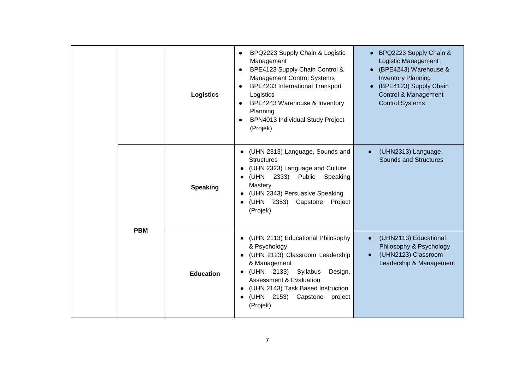|            | <b>Logistics</b> | BPQ2223 Supply Chain & Logistic<br>Management<br>BPE4123 Supply Chain Control &<br><b>Management Control Systems</b><br><b>BPE4233 International Transport</b><br>$\bullet$<br>Logistics<br>BPE4243 Warehouse & Inventory<br>$\bullet$<br>Planning<br>BPN4013 Individual Study Project<br>(Projek)            | BPQ2223 Supply Chain &<br>Logistic Management<br>• (BPE4243) Warehouse &<br><b>Inventory Planning</b><br>• (BPE4123) Supply Chain<br>Control & Management<br><b>Control Systems</b> |
|------------|------------------|---------------------------------------------------------------------------------------------------------------------------------------------------------------------------------------------------------------------------------------------------------------------------------------------------------------|-------------------------------------------------------------------------------------------------------------------------------------------------------------------------------------|
|            | <b>Speaking</b>  | • (UHN 2313) Language, Sounds and<br><b>Structures</b><br>(UHN 2323) Language and Culture<br>$\bullet$<br>(UHN<br>2333)<br>Public<br>Speaking<br>$\bullet$<br>Mastery<br>(UHN 2343) Persuasive Speaking<br>(UHN 2353) Capstone<br>Project<br>$\bullet$<br>(Projek)                                            | (UHN2313) Language,<br>Sounds and Structures                                                                                                                                        |
| <b>PBM</b> | <b>Education</b> | • (UHN 2113) Educational Philosophy<br>& Psychology<br>• (UHN 2123) Classroom Leadership<br>& Management<br>(UHN 2133) Syllabus<br>Design,<br>$\bullet$<br><b>Assessment &amp; Evaluation</b><br>(UHN 2143) Task Based Instruction<br>$\bullet$<br>(UHN<br>2153) Capstone<br>project<br>$\bullet$<br>(Projek) | (UHN2113) Educational<br>$\bullet$<br>Philosophy & Psychology<br>(UHN2123) Classroom<br>$\bullet$<br>Leadership & Management                                                        |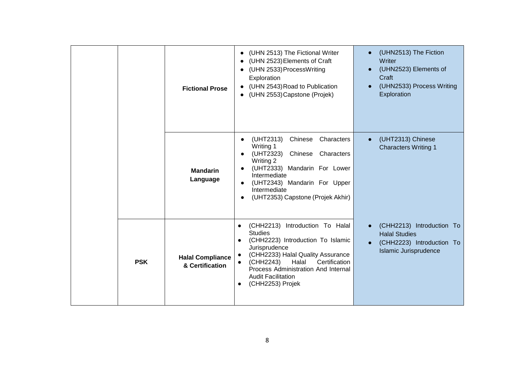|            | <b>Fictional Prose</b>                     | (UHN 2513) The Fictional Writer<br>$\bullet$<br>(UHN 2523) Elements of Craft<br>(UHN 2533) ProcessWriting<br>Exploration<br>(UHN 2543) Road to Publication<br>$\bullet$<br>(UHN 2553) Capstone (Projek)<br>$\bullet$                                                                                                                            | (UHN2513) The Fiction<br>$\bullet$<br>Writer<br>(UHN2523) Elements of<br>$\bullet$<br>Craft<br>(UHN2533) Process Writing<br>$\bullet$<br>Exploration |
|------------|--------------------------------------------|-------------------------------------------------------------------------------------------------------------------------------------------------------------------------------------------------------------------------------------------------------------------------------------------------------------------------------------------------|------------------------------------------------------------------------------------------------------------------------------------------------------|
|            | <b>Mandarin</b><br>Language                | Chinese<br>Characters<br>(UHT2313)<br>$\bullet$<br>Writing 1<br>(UHT2323)<br>Chinese Characters<br>$\bullet$<br>Writing 2<br>(UHT2333) Mandarin For Lower<br>$\bullet$<br>Intermediate<br>(UHT2343) Mandarin For Upper<br>$\bullet$<br>Intermediate<br>(UHT2353) Capstone (Projek Akhir)<br>$\bullet$                                           | (UHT2313) Chinese<br>$\bullet$<br><b>Characters Writing 1</b>                                                                                        |
| <b>PSK</b> | <b>Halal Compliance</b><br>& Certification | (CHH2213)<br>Introduction To Halal<br>$\bullet$<br><b>Studies</b><br>(CHH2223) Introduction To Islamic<br>$\bullet$<br>Jurisprudence<br>(CHH2233) Halal Quality Assurance<br>$\bullet$<br>Halal<br>Certification<br>(CHH2243)<br>$\bullet$<br>Process Administration And Internal<br><b>Audit Facilitation</b><br>(CHH2253) Projek<br>$\bullet$ | (CHH2213) Introduction To<br>$\bullet$<br><b>Halal Studies</b><br>(CHH2223) Introduction To<br>$\bullet$<br><b>Islamic Jurisprudence</b>             |